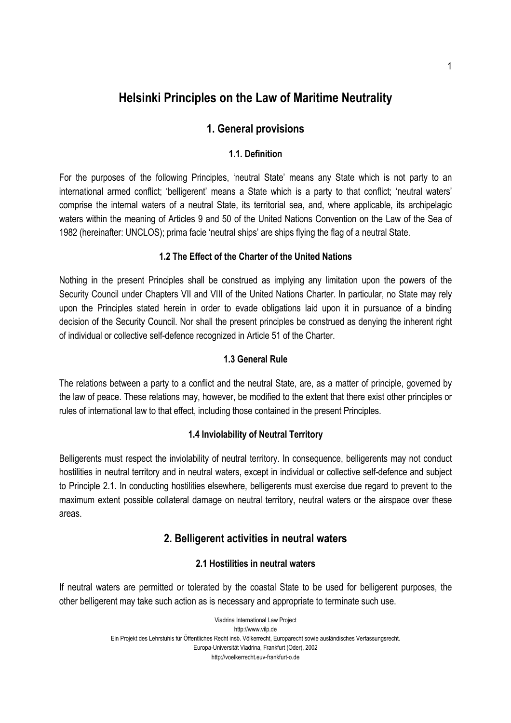# **Helsinki Principles on the Law of Maritime Neutrality**

# **1. General provisions**

# **1.1. Definition**

For the purposes of the following Principles, 'neutral State' means any State which is not party to an international armed conflict; 'belligerent' means a State which is a party to that conflict; 'neutral waters' comprise the internal waters of a neutral State, its territorial sea, and, where applicable, its archipelagic waters within the meaning of Articles 9 and 50 of the United Nations Convention on the Law of the Sea of 1982 (hereinafter: UNCLOS); prima facie 'neutral ships' are ships flying the flag of a neutral State.

# **1.2 The Effect of the Charter of the United Nations**

Nothing in the present Principles shall be construed as implying any limitation upon the powers of the Security Council under Chapters VII and VIII of the United Nations Charter. In particular, no State may rely upon the Principles stated herein in order to evade obligations laid upon it in pursuance of a binding decision of the Security Council. Nor shall the present principles be construed as denying the inherent right of individual or collective self-defence recognized in Article 51 of the Charter.

#### **1.3 General Rule**

The relations between a party to a conflict and the neutral State, are, as a matter of principle, governed by the law of peace. These relations may, however, be modified to the extent that there exist other principles or rules of international law to that effect, including those contained in the present Principles.

# **1.4 Inviolability of Neutral Territory**

Belligerents must respect the inviolability of neutral territory. In consequence, belligerents may not conduct hostilities in neutral territory and in neutral waters, except in individual or collective self-defence and subject to Principle 2.1. In conducting hostilities elsewhere, belligerents must exercise due regard to prevent to the maximum extent possible collateral damage on neutral territory, neutral waters or the airspace over these areas.

# **2. Belligerent activities in neutral waters**

# **2.1 Hostilities in neutral waters**

If neutral waters are permitted or tolerated by the coastal State to be used for belligerent purposes, the other belligerent may take such action as is necessary and appropriate to terminate such use.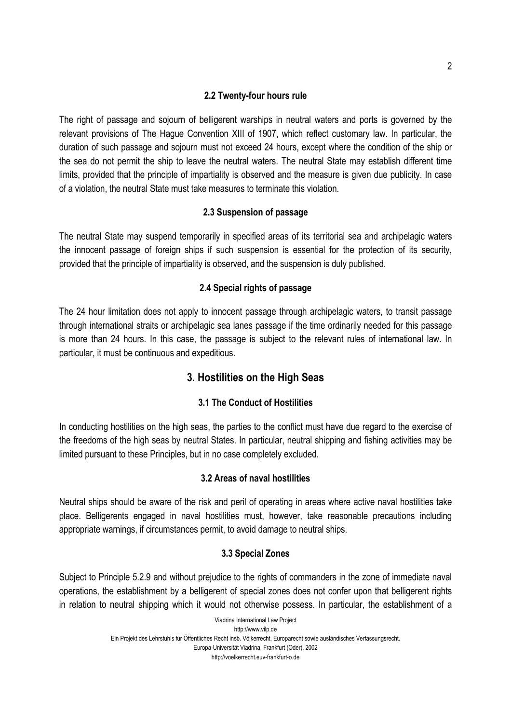#### **2.2 Twenty-four hours rule**

The right of passage and sojourn of belligerent warships in neutral waters and ports is governed by the relevant provisions of The Hague Convention XIII of 1907, which reflect customary law. In particular, the duration of such passage and sojourn must not exceed 24 hours, except where the condition of the ship or the sea do not permit the ship to leave the neutral waters. The neutral State may establish different time limits, provided that the principle of impartiality is observed and the measure is given due publicity. In case of a violation, the neutral State must take measures to terminate this violation.

# **2.3 Suspension of passage**

The neutral State may suspend temporarily in specified areas of its territorial sea and archipelagic waters the innocent passage of foreign ships if such suspension is essential for the protection of its security, provided that the principle of impartiality is observed, and the suspension is duly published.

#### **2.4 Special rights of passage**

The 24 hour limitation does not apply to innocent passage through archipelagic waters, to transit passage through international straits or archipelagic sea lanes passage if the time ordinarily needed for this passage is more than 24 hours. In this case, the passage is subject to the relevant rules of international law. In particular, it must be continuous and expeditious.

# **3. Hostilities on the High Seas**

# **3.1 The Conduct of Hostilities**

In conducting hostilities on the high seas, the parties to the conflict must have due regard to the exercise of the freedoms of the high seas by neutral States. In particular, neutral shipping and fishing activities may be limited pursuant to these Principles, but in no case completely excluded.

# **3.2 Areas of naval hostilities**

Neutral ships should be aware of the risk and peril of operating in areas where active naval hostilities take place. Belligerents engaged in naval hostilities must, however, take reasonable precautions including appropriate warnings, if circumstances permit, to avoid damage to neutral ships.

# **3.3 Special Zones**

Subject to Principle 5.2.9 and without prejudice to the rights of commanders in the zone of immediate naval operations, the establishment by a belligerent of special zones does not confer upon that belligerent rights in relation to neutral shipping which it would not otherwise possess. In particular, the establishment of a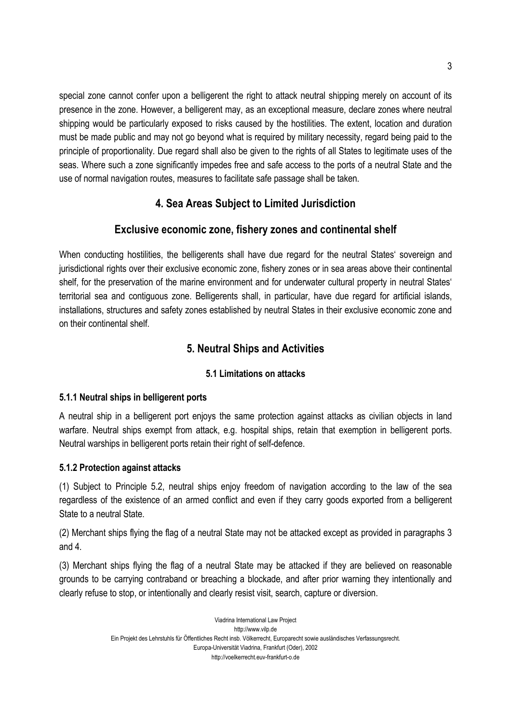special zone cannot confer upon a belligerent the right to attack neutral shipping merely on account of its presence in the zone. However, a belligerent may, as an exceptional measure, declare zones where neutral shipping would be particularly exposed to risks caused by the hostilities. The extent, location and duration must be made public and may not go beyond what is required by military necessity, regard being paid to the principle of proportionality. Due regard shall also be given to the rights of all States to legitimate uses of the seas. Where such a zone significantly impedes free and safe access to the ports of a neutral State and the use of normal navigation routes, measures to facilitate safe passage shall be taken.

# **4. Sea Areas Subject to Limited Jurisdiction**

# **Exclusive economic zone, fishery zones and continental shelf**

When conducting hostilities, the belligerents shall have due regard for the neutral States' sovereign and jurisdictional rights over their exclusive economic zone, fishery zones or in sea areas above their continental shelf, for the preservation of the marine environment and for underwater cultural property in neutral States' territorial sea and contiguous zone. Belligerents shall, in particular, have due regard for artificial islands, installations, structures and safety zones established by neutral States in their exclusive economic zone and on their continental shelf.

# **5. Neutral Ships and Activities**

# **5.1 Limitations on attacks**

# **5.1.1 Neutral ships in belligerent ports**

A neutral ship in a belligerent port enjoys the same protection against attacks as civilian objects in land warfare. Neutral ships exempt from attack, e.g. hospital ships, retain that exemption in belligerent ports. Neutral warships in belligerent ports retain their right of self-defence.

# **5.1.2 Protection against attacks**

(1) Subject to Principle 5.2, neutral ships enjoy freedom of navigation according to the law of the sea regardless of the existence of an armed conflict and even if they carry goods exported from a belligerent State to a neutral State.

(2) Merchant ships flying the flag of a neutral State may not be attacked except as provided in paragraphs 3 and 4.

(3) Merchant ships flying the flag of a neutral State may be attacked if they are believed on reasonable grounds to be carrying contraband or breaching a blockade, and after prior warning they intentionally and clearly refuse to stop, or intentionally and clearly resist visit, search, capture or diversion.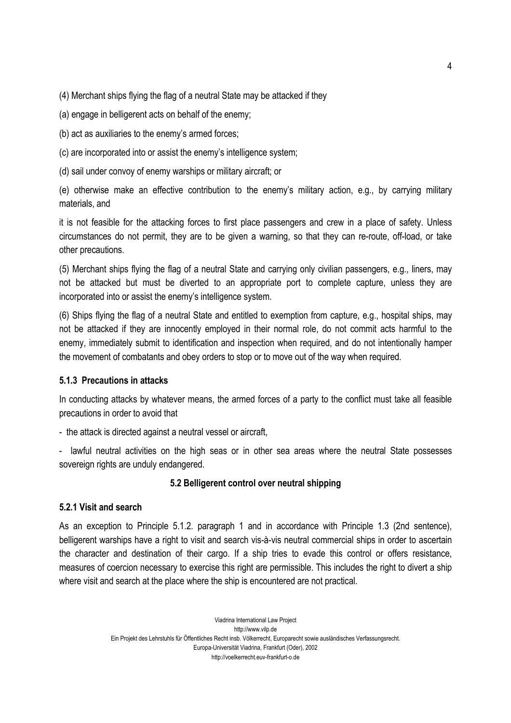(4) Merchant ships flying the flag of a neutral State may be attacked if they

(a) engage in belligerent acts on behalf of the enemy;

(b) act as auxiliaries to the enemy's armed forces;

(c) are incorporated into or assist the enemy's intelligence system;

(d) sail under convoy of enemy warships or military aircraft; or

(e) otherwise make an effective contribution to the enemy's military action, e.g., by carrying military materials, and

it is not feasible for the attacking forces to first place passengers and crew in a place of safety. Unless circumstances do not permit, they are to be given a warning, so that they can re-route, off-load, or take other precautions.

(5) Merchant ships flying the flag of a neutral State and carrying only civilian passengers, e.g., liners, may not be attacked but must be diverted to an appropriate port to complete capture, unless they are incorporated into or assist the enemy's intelligence system.

(6) Ships flying the flag of a neutral State and entitled to exemption from capture, e.g., hospital ships, may not be attacked if they are innocently employed in their normal role, do not commit acts harmful to the enemy, immediately submit to identification and inspection when required, and do not intentionally hamper the movement of combatants and obey orders to stop or to move out of the way when required.

#### **5.1.3 Precautions in attacks**

In conducting attacks by whatever means, the armed forces of a party to the conflict must take all feasible precautions in order to avoid that

- the attack is directed against a neutral vessel or aircraft,

- lawful neutral activities on the high seas or in other sea areas where the neutral State possesses sovereign rights are unduly endangered.

#### **5.2 Belligerent control over neutral shipping**

### **5.2.1 Visit and search**

As an exception to Principle 5.1.2. paragraph 1 and in accordance with Principle 1.3 (2nd sentence), belligerent warships have a right to visit and search vis-à-vis neutral commercial ships in order to ascertain the character and destination of their cargo. If a ship tries to evade this control or offers resistance, measures of coercion necessary to exercise this right are permissible. This includes the right to divert a ship where visit and search at the place where the ship is encountered are not practical.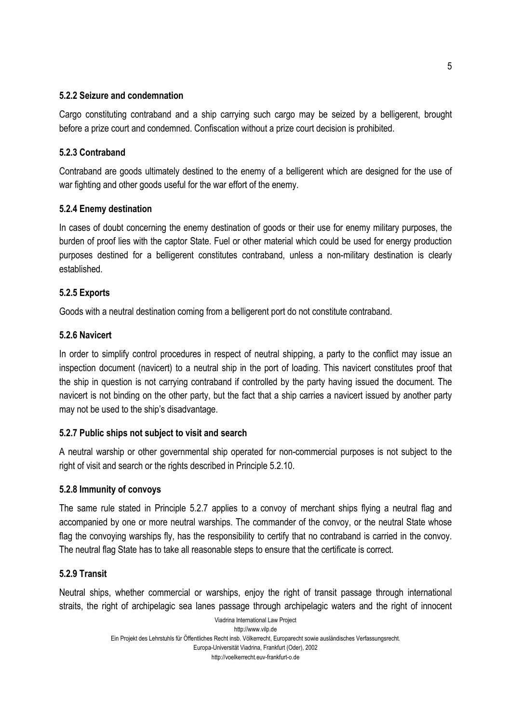#### **5.2.2 Seizure and condemnation**

Cargo constituting contraband and a ship carrying such cargo may be seized by a belligerent, brought before a prize court and condemned. Confiscation without a prize court decision is prohibited.

### **5.2.3 Contraband**

Contraband are goods ultimately destined to the enemy of a belligerent which are designed for the use of war fighting and other goods useful for the war effort of the enemy.

#### **5.2.4 Enemy destination**

In cases of doubt concerning the enemy destination of goods or their use for enemy military purposes, the burden of proof lies with the captor State. Fuel or other material which could be used for energy production purposes destined for a belligerent constitutes contraband, unless a non-military destination is clearly established.

#### **5.2.5 Exports**

Goods with a neutral destination coming from a belligerent port do not constitute contraband.

#### **5.2.6 Navicert**

In order to simplify control procedures in respect of neutral shipping, a party to the conflict may issue an inspection document (navicert) to a neutral ship in the port of loading. This navicert constitutes proof that the ship in question is not carrying contraband if controlled by the party having issued the document. The navicert is not binding on the other party, but the fact that a ship carries a navicert issued by another party may not be used to the ship's disadvantage.

#### **5.2.7 Public ships not subject to visit and search**

A neutral warship or other governmental ship operated for non-commercial purposes is not subject to the right of visit and search or the rights described in Principle 5.2.10.

#### **5.2.8 Immunity of convoys**

The same rule stated in Principle 5.2.7 applies to a convoy of merchant ships flying a neutral flag and accompanied by one or more neutral warships. The commander of the convoy, or the neutral State whose flag the convoying warships fly, has the responsibility to certify that no contraband is carried in the convoy. The neutral flag State has to take all reasonable steps to ensure that the certificate is correct.

#### **5.2.9 Transit**

Neutral ships, whether commercial or warships, enjoy the right of transit passage through international straits, the right of archipelagic sea lanes passage through archipelagic waters and the right of innocent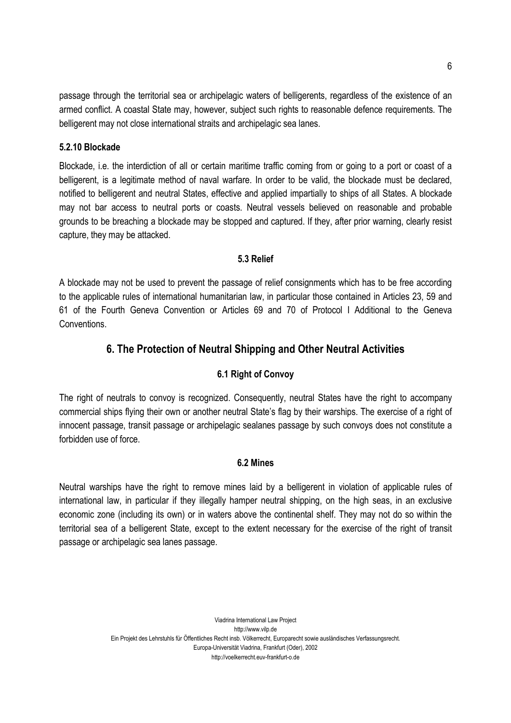passage through the territorial sea or archipelagic waters of belligerents, regardless of the existence of an armed conflict. A coastal State may, however, subject such rights to reasonable defence requirements. The belligerent may not close international straits and archipelagic sea lanes.

#### **5.2.10 Blockade**

Blockade, i.e. the interdiction of all or certain maritime traffic coming from or going to a port or coast of a belligerent, is a legitimate method of naval warfare. In order to be valid, the blockade must be declared, notified to belligerent and neutral States, effective and applied impartially to ships of all States. A blockade may not bar access to neutral ports or coasts. Neutral vessels believed on reasonable and probable grounds to be breaching a blockade may be stopped and captured. If they, after prior warning, clearly resist capture, they may be attacked.

#### **5.3 Relief**

A blockade may not be used to prevent the passage of relief consignments which has to be free according to the applicable rules of international humanitarian law, in particular those contained in Articles 23, 59 and 61 of the Fourth Geneva Convention or Articles 69 and 70 of Protocol I Additional to the Geneva Conventions.

# **6. The Protection of Neutral Shipping and Other Neutral Activities**

# **6.1 Right of Convoy**

The right of neutrals to convoy is recognized. Consequently, neutral States have the right to accompany commercial ships flying their own or another neutral State's flag by their warships. The exercise of a right of innocent passage, transit passage or archipelagic sealanes passage by such convoys does not constitute a forbidden use of force.

# **6.2 Mines**

Neutral warships have the right to remove mines laid by a belligerent in violation of applicable rules of international law, in particular if they illegally hamper neutral shipping, on the high seas, in an exclusive economic zone (including its own) or in waters above the continental shelf. They may not do so within the territorial sea of a belligerent State, except to the extent necessary for the exercise of the right of transit passage or archipelagic sea lanes passage.